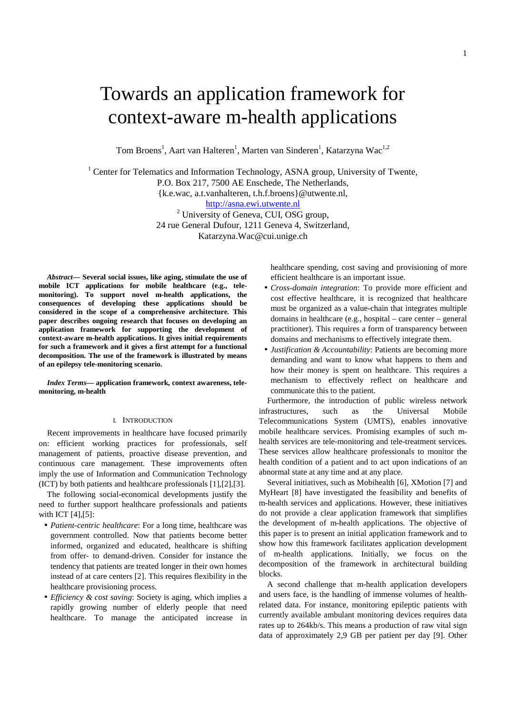# Towards an application framework for context-aware m-health applications

Tom Broens<sup>1</sup>, Aart van Halteren<sup>1</sup>, Marten van Sinderen<sup>1</sup>, Katarzyna Wac<sup>1,2</sup>

<sup>1</sup> Center for Telematics and Information Technology, ASNA group, University of Twente, P.O. Box 217, 7500 AE Enschede, The Netherlands, {k.e.wac, a.t.vanhalteren, t.h.f.broens}@utwente.nl, http://asna.ewi.utwente.nl <sup>2</sup> University of Geneva, CUI, OSG group, 24 rue General Dufour, 1211 Geneva 4, Switzerland, Katarzyna.Wac@cui.unige.ch

*Abstract***— Several social issues, like aging, stimulate the use of mobile ICT applications for mobile healthcare (e.g., telemonitoring). To support novel m-health applications, the consequences of developing these applications should be considered in the scope of a comprehensive architecture. This paper describes ongoing research that focuses on developing an application framework for supporting the development of context-aware m-health applications. It gives initial requirements for such a framework and it gives a first attempt for a functional decomposition. The use of the framework is illustrated by means of an epilepsy tele-monitoring scenario.** 

*Index Terms***— application framework, context awareness, telemonitoring, m-health** 

## I. INTRODUCTION

Recent improvements in healthcare have focused primarily on: efficient working practices for professionals, self management of patients, proactive disease prevention, and continuous care management. These improvements often imply the use of Information and Communication Technology (ICT) by both patients and healthcare professionals [1],[2],[3].

The following social-economical developments justify the need to further support healthcare professionals and patients with ICT [4],[5]:

- *Patient-centric healthcare*: For a long time, healthcare was government controlled. Now that patients become better informed, organized and educated, healthcare is shifting from offer- to demand-driven. Consider for instance the tendency that patients are treated longer in their own homes instead of at care centers [2]. This requires flexibility in the healthcare provisioning process.
- *Efficiency & cost saving*: Society is aging, which implies a rapidly growing number of elderly people that need healthcare. To manage the anticipated increase in

healthcare spending, cost saving and provisioning of more efficient healthcare is an important issue.

- *Cross-domain integration*: To provide more efficient and cost effective healthcare, it is recognized that healthcare must be organized as a value-chain that integrates multiple domains in healthcare (e.g., hospital – care center – general practitioner). This requires a form of transparency between domains and mechanisms to effectively integrate them.
- *Justification & Accountability*: Patients are becoming more demanding and want to know what happens to them and how their money is spent on healthcare. This requires a mechanism to effectively reflect on healthcare and communicate this to the patient.

Furthermore, the introduction of public wireless network infrastructures, such as the Universal Mobile Telecommunications System (UMTS), enables innovative mobile healthcare services. Promising examples of such mhealth services are tele-monitoring and tele-treatment services. These services allow healthcare professionals to monitor the health condition of a patient and to act upon indications of an abnormal state at any time and at any place.

Several initiatives, such as Mobihealth [6], XMotion [7] and MyHeart [8] have investigated the feasibility and benefits of m-health services and applications. However, these initiatives do not provide a clear application framework that simplifies the development of m-health applications. The objective of this paper is to present an initial application framework and to show how this framework facilitates application development of m-health applications. Initially, we focus on the decomposition of the framework in architectural building blocks.

A second challenge that m-health application developers and users face, is the handling of immense volumes of healthrelated data. For instance, monitoring epileptic patients with currently available ambulant monitoring devices requires data rates up to 264kb/s. This means a production of raw vital sign data of approximately 2,9 GB per patient per day [9]. Other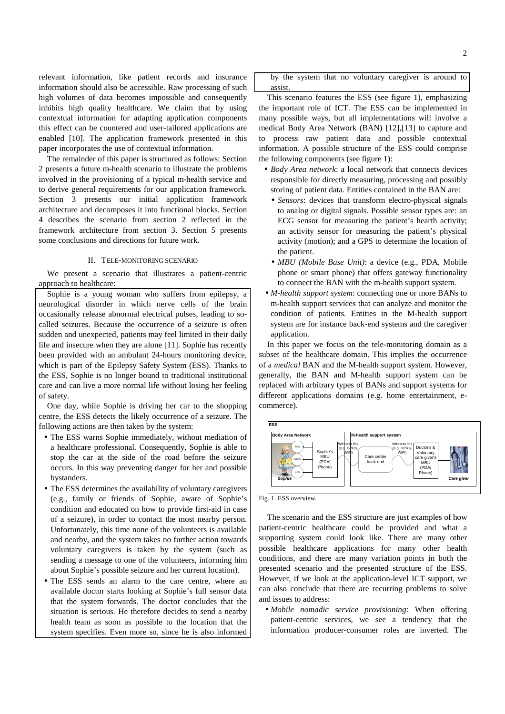relevant information, like patient records and insurance information should also be accessible. Raw processing of such high volumes of data becomes impossible and consequently inhibits high quality healthcare. We claim that by using contextual information for adapting application components this effect can be countered and user-tailored applications are enabled [10]. The application framework presented in this paper incorporates the use of contextual information.

The remainder of this paper is structured as follows: Section 2 presents a future m-health scenario to illustrate the problems involved in the provisioning of a typical m-health service and to derive general requirements for our application framework. Section 3 presents our initial application framework architecture and decomposes it into functional blocks. Section 4 describes the scenario from section 2 reflected in the framework architecture from section 3. Section 5 presents some conclusions and directions for future work.

### II. TELE-MONITORING SCENARIO

We present a scenario that illustrates a patient-centric approach to healthcare:

Sophie is a young woman who suffers from epilepsy, a neurological disorder in which nerve cells of the brain occasionally release abnormal electrical pulses, leading to socalled seizures. Because the occurrence of a seizure is often sudden and unexpected, patients may feel limited in their daily life and insecure when they are alone [11]. Sophie has recently been provided with an ambulant 24-hours monitoring device, which is part of the Epilepsy Safety System (ESS). Thanks to the ESS, Sophie is no longer bound to traditional institutional care and can live a more normal life without losing her feeling of safety.

One day, while Sophie is driving her car to the shopping centre, the ESS detects the likely occurrence of a seizure. The following actions are then taken by the system:

- The ESS warns Sophie immediately, without mediation of a healthcare professional. Consequently, Sophie is able to stop the car at the side of the road before the seizure occurs. In this way preventing danger for her and possible bystanders.
- The ESS determines the availability of voluntary caregivers (e.g., family or friends of Sophie, aware of Sophie's condition and educated on how to provide first-aid in case of a seizure), in order to contact the most nearby person. Unfortunately, this time none of the volunteers is available and nearby, and the system takes no further action towards voluntary caregivers is taken by the system (such as sending a message to one of the volunteers, informing him about Sophie's possible seizure and her current location).
- The ESS sends an alarm to the care centre, where an available doctor starts looking at Sophie's full sensor data that the system forwards. The doctor concludes that the situation is serious. He therefore decides to send a nearby health team as soon as possible to the location that the system specifies. Even more so, since he is also informed

by the system that no voluntary caregiver is around to assist.

This scenario features the ESS (see figure 1), emphasizing the important role of ICT. The ESS can be implemented in many possible ways, but all implementations will involve a medical Body Area Network (BAN) [12],[13] to capture and to process raw patient data and possible contextual information. A possible structure of the ESS could comprise the following components (see figure 1):

- *Body Area network*: a local network that connects devices responsible for directly measuring, processing and possibly storing of patient data. Entities contained in the BAN are:
	- *Sensors*: devices that transform electro-physical signals to analog or digital signals. Possible sensor types are: an ECG sensor for measuring the patient's hearth activity; an activity sensor for measuring the patient's physical activity (motion); and a GPS to determine the location of the patient.
	- *MBU (Mobile Base Unit)*: a device (e.g., PDA, Mobile phone or smart phone) that offers gateway functionality to connect the BAN with the m-health support system.
- *M-health support system*: connecting one or more BANs to m-health support services that can analyze and monitor the condition of patients. Entities in the M-health support system are for instance back-end systems and the caregiver application.

In this paper we focus on the tele-monitoring domain as a subset of the healthcare domain. This implies the occurrence of a *medical* BAN and the M-health support system. However, generally, the BAN and M-health support system can be replaced with arbitrary types of BANs and support systems for different applications domains (e.g. home entertainment, ecommerce).



Fig. 1. ESS overview.

The scenario and the ESS structure are just examples of how patient-centric healthcare could be provided and what a supporting system could look like. There are many other possible healthcare applications for many other health conditions, and there are many variation points in both the presented scenario and the presented structure of the ESS. However, if we look at the application-level ICT support, we can also conclude that there are recurring problems to solve and issues to address:

• *Mobile nomadic service provisioning*: When offering patient-centric services, we see a tendency that the information producer-consumer roles are inverted. The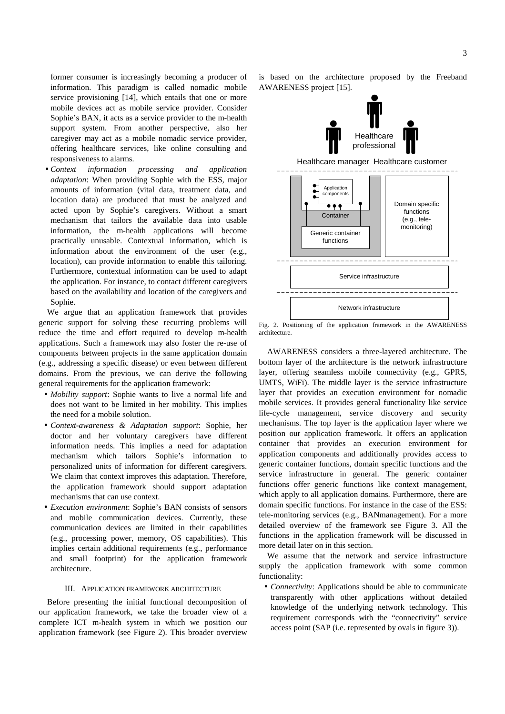former consumer is increasingly becoming a producer of information. This paradigm is called nomadic mobile service provisioning [14], which entails that one or more mobile devices act as mobile service provider. Consider Sophie's BAN, it acts as a service provider to the m-health support system. From another perspective, also her caregiver may act as a mobile nomadic service provider, offering healthcare services, like online consulting and responsiveness to alarms.

• *Context information processing and application adaptation*: When providing Sophie with the ESS, major amounts of information (vital data, treatment data, and location data) are produced that must be analyzed and acted upon by Sophie's caregivers. Without a smart mechanism that tailors the available data into usable information, the m-health applications will become practically unusable. Contextual information, which is information about the environment of the user (e.g., location), can provide information to enable this tailoring. Furthermore, contextual information can be used to adapt the application. For instance, to contact different caregivers based on the availability and location of the caregivers and Sophie.

We argue that an application framework that provides generic support for solving these recurring problems will reduce the time and effort required to develop m-health applications. Such a framework may also foster the re-use of components between projects in the same application domain (e.g., addressing a specific disease) or even between different domains. From the previous, we can derive the following general requirements for the application framework:

- *Mobility support*: Sophie wants to live a normal life and does not want to be limited in her mobility. This implies the need for a mobile solution.
- *Context-awareness & Adaptation support*: Sophie, her doctor and her voluntary caregivers have different information needs. This implies a need for adaptation mechanism which tailors Sophie's information to personalized units of information for different caregivers. We claim that context improves this adaptation. Therefore, the application framework should support adaptation mechanisms that can use context.
- *Execution environment*: Sophie's BAN consists of sensors and mobile communication devices. Currently, these communication devices are limited in their capabilities (e.g., processing power, memory, OS capabilities). This implies certain additional requirements (e.g., performance and small footprint) for the application framework architecture.

## III. APPLICATION FRAMEWORK ARCHITECTURE

Before presenting the initial functional decomposition of our application framework, we take the broader view of a complete ICT m-health system in which we position our application framework (see Figure 2). This broader overview

is based on the architecture proposed by the Freeband AWARENESS project [15].



Fig. 2. Positioning of the application framework in the AWARENESS architecture.

AWARENESS considers a three-layered architecture. The bottom layer of the architecture is the network infrastructure layer, offering seamless mobile connectivity (e.g., GPRS, UMTS, WiFi). The middle layer is the service infrastructure layer that provides an execution environment for nomadic mobile services. It provides general functionality like service life-cycle management, service discovery and security mechanisms. The top layer is the application layer where we position our application framework. It offers an application container that provides an execution environment for application components and additionally provides access to generic container functions, domain specific functions and the service infrastructure in general. The generic container functions offer generic functions like context management, which apply to all application domains. Furthermore, there are domain specific functions. For instance in the case of the ESS: tele-monitoring services (e.g., BANmanagement). For a more detailed overview of the framework see Figure 3. All the functions in the application framework will be discussed in more detail later on in this section.

We assume that the network and service infrastructure supply the application framework with some common functionality:

• *Connectivity*: Applications should be able to communicate transparently with other applications without detailed knowledge of the underlying network technology. This requirement corresponds with the "connectivity" service access point (SAP (i.e. represented by ovals in figure 3)).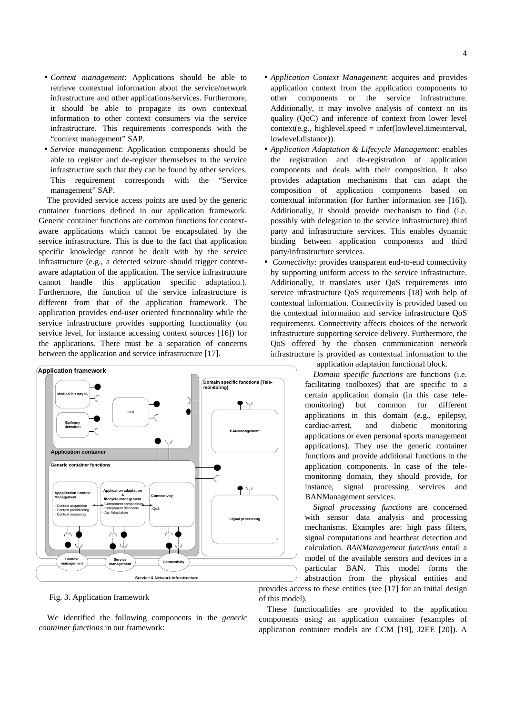- *Context management*: Applications should be able to retrieve contextual information about the service/network infrastructure and other applications/services. Furthermore, it should be able to propagate its own contextual information to other context consumers via the service infrastructure. This requirements corresponds with the "context management" SAP.
- *Service management*: Application components should be able to register and de-register themselves to the service infrastructure such that they can be found by other services. This requirement corresponds with the "Service management" SAP.

The provided service access points are used by the generic container functions defined in our application framework. Generic container functions are common functions for contextaware applications which cannot be encapsulated by the service infrastructure. This is due to the fact that application specific knowledge cannot be dealt with by the service infrastructure (e.g., a detected seizure should trigger contextaware adaptation of the application. The service infrastructure cannot handle this application specific adaptation.). Furthermore, the function of the service infrastructure is different from that of the application framework. The application provides end-user oriented functionality while the service infrastructure provides supporting functionality (on service level, for instance accessing context sources [16]) for the applications. There must be a separation of concerns between the application and service infrastructure [17].



Fig. 3. Application framework

We identified the following components in the *generic container functions* in our framework:

- *Application Context Management*: acquires and provides application context from the application components to other components or the service infrastructure. Additionally, it may involve analysis of context on its quality (QoC) and inference of context from lower level  $context(e.g., highlevel-speed = infer(lowlevel.timeinterval,$ lowlevel.distance)).
- *Application Adaptation & Lifecycle Management*: enables the registration and de-registration of application components and deals with their composition. It also provides adaptation mechanisms that can adapt the composition of application components based on contextual information (for further information see [16]). Additionally, it should provide mechanism to find (i.e. possibly with delegation to the service infrastructure) third party and infrastructure services. This enables dynamic binding between application components and third party/infrastructure services.
- • *Connectivity*: provides transparent end-to-end connectivity by supporting uniform access to the service infrastructure. Additionally, it translates user QoS requirements into service infrastructure QoS requirements [18] with help of contextual information. Connectivity is provided based on the contextual information and service infrastructure QoS requirements. Connectivity affects choices of the network infrastructure supporting service delivery. Furthermore, the QoS offered by the chosen communication network infrastructure is provided as contextual information to the

application adaptation functional block.

*Domain specific functions* are functions (i.e. facilitating toolboxes) that are specific to a certain application domain (in this case telemonitoring) but common for different applications in this domain (e.g., epilepsy, cardiac-arrest, and diabetic monitoring applications or even personal sports management applications). They use the generic container functions and provide additional functions to the application components. In case of the telemonitoring domain, they should provide, for instance, signal processing services and BANManagement services.

*Signal processing functions* are concerned with sensor data analysis and processing mechanisms. Examples are: high pass filters, signal computations and heartbeat detection and calculation. *BANManagement functions* entail a model of the available sensors and devices in a particular BAN. This model forms the abstraction from the physical entities and

provides access to these entities (see [17] for an initial design of this model).

These functionalities are provided to the application components using an application container (examples of application container models are CCM [19], J2EE [20]). A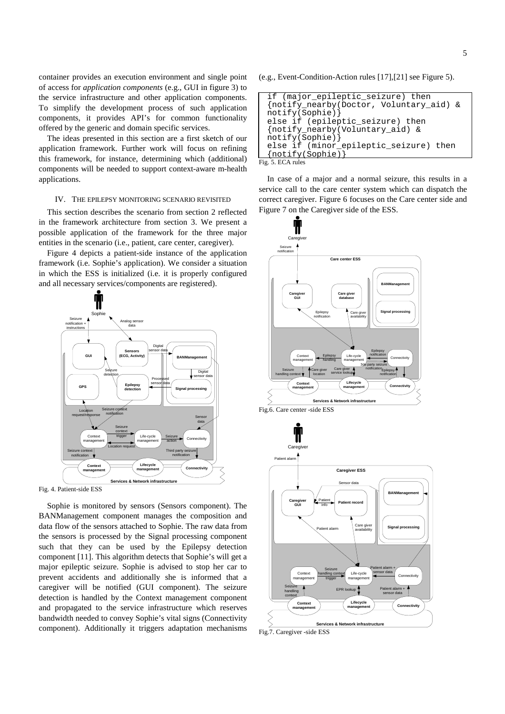container provides an execution environment and single point of access for *application components* (e.g., GUI in figure 3) to the service infrastructure and other application components. To simplify the development process of such application components, it provides API's for common functionality offered by the generic and domain specific services.

The ideas presented in this section are a first sketch of our application framework. Further work will focus on refining this framework, for instance, determining which (additional) components will be needed to support context-aware m-health applications.

#### IV. THE EPILEPSY MONITORING SCENARIO REVISITED

This section describes the scenario from section 2 reflected in the framework architecture from section 3. We present a possible application of the framework for the three major entities in the scenario (i.e., patient, care center, caregiver).

Figure 4 depicts a patient-side instance of the application framework (i.e. Sophie's application). We consider a situation in which the ESS is initialized (i.e. it is properly configured and all necessary services/components are registered).





Sophie is monitored by sensors (Sensors component). The BANManagement component manages the composition and data flow of the sensors attached to Sophie. The raw data from the sensors is processed by the Signal processing component such that they can be used by the Epilepsy detection component [11]. This algorithm detects that Sophie's will get a major epileptic seizure. Sophie is advised to stop her car to prevent accidents and additionally she is informed that a caregiver will be notified (GUI component). The seizure detection is handled by the Context management component and propagated to the service infrastructure which reserves bandwidth needed to convey Sophie's vital signs (Connectivity component). Additionally it triggers adaptation mechanisms (e.g., Event-Condition-Action rules [17],[21] see Figure 5).

| if (major epileptic seizure) then       |
|-----------------------------------------|
| {notify_nearby(Doctor, Voluntary_aid) & |
| notify(Sophie)                          |
| else if (epileptic_seizure) then        |
| notify nearby (Voluntary aid) &         |
| notify(Sophie)                          |
| else if (minor_epileptic_seizure) then  |
| (notify(Sophie)                         |
| Fig. 5. ECA rules                       |

In case of a major and a normal seizure, this results in a service call to the care center system which can dispatch the correct caregiver. Figure 6 focuses on the Care center side and Figure 7 on the Caregiver side of the ESS.



5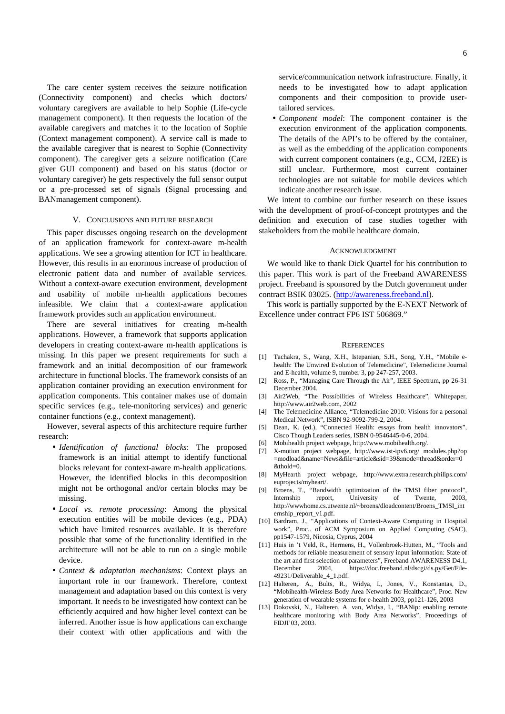The care center system receives the seizure notification (Connectivity component) and checks which doctors/ voluntary caregivers are available to help Sophie (Life-cycle management component). It then requests the location of the available caregivers and matches it to the location of Sophie (Context management component). A service call is made to the available caregiver that is nearest to Sophie (Connectivity component). The caregiver gets a seizure notification (Care giver GUI component) and based on his status (doctor or voluntary caregiver) he gets respectively the full sensor output or a pre-processed set of signals (Signal processing and BANmanagement component).

# V. CONCLUSIONS AND FUTURE RESEARCH

This paper discusses ongoing research on the development of an application framework for context-aware m-health applications. We see a growing attention for ICT in healthcare. However, this results in an enormous increase of production of electronic patient data and number of available services. Without a context-aware execution environment, development and usability of mobile m-health applications becomes infeasible. We claim that a context-aware application framework provides such an application environment.

There are several initiatives for creating m-health applications. However, a framework that supports application developers in creating context-aware m-health applications is missing. In this paper we present requirements for such a framework and an initial decomposition of our framework architecture in functional blocks. The framework consists of an application container providing an execution environment for application components. This container makes use of domain specific services (e.g., tele-monitoring services) and generic container functions (e.g., context management).

However, several aspects of this architecture require further research:

- *Identification of functional blocks*: The proposed framework is an initial attempt to identify functional blocks relevant for context-aware m-health applications. However, the identified blocks in this decomposition might not be orthogonal and/or certain blocks may be missing.
- *Local vs. remote processing*: Among the physical execution entities will be mobile devices (e.g., PDA) which have limited resources available. It is therefore possible that some of the functionality identified in the architecture will not be able to run on a single mobile device.
- *Context & adaptation mechanisms*: Context plays an important role in our framework. Therefore, context management and adaptation based on this context is very important. It needs to be investigated how context can be efficiently acquired and how higher level context can be inferred. Another issue is how applications can exchange their context with other applications and with the

service/communication network infrastructure. Finally, it needs to be investigated how to adapt application components and their composition to provide usertailored services.

• *Component model*: The component container is the execution environment of the application components. The details of the API's to be offered by the container, as well as the embedding of the application components with current component containers (e.g., CCM, J2EE) is still unclear. Furthermore, most current container technologies are not suitable for mobile devices which indicate another research issue.

We intent to combine our further research on these issues with the development of proof-of-concept prototypes and the definition and execution of case studies together with stakeholders from the mobile healthcare domain.

#### ACKNOWLEDGMENT

We would like to thank Dick Quartel for his contribution to this paper. This work is part of the Freeband AWARENESS project. Freeband is sponsored by the Dutch government under contract BSIK 03025. (http://awareness.freeband.nl).

This work is partially supported by the E-NEXT Network of Excellence under contract FP6 IST 506869."

#### **REFERENCES**

- [1] Tachakra, S., Wang, X.H., Istepanian, S.H., Song, Y.H., "Mobile ehealth: The Unwired Evolution of Telemedicine", Telemedicine Journal and E-health, volume 9, number 3, pp 247-257, 2003.
- [2] Ross, P., "Managing Care Through the Air", IEEE Spectrum, pp 26-31 December 2004.
- [3] Air2Web, "The Possibilities of Wireless Healthcare", Whitepaper, http://www.air2web.com, 2002
- [4] The Telemedicine Alliance, "Telemedicine 2010: Visions for a personal Medical Network", ISBN 92-9092-799-2, 2004.
- [5] Dean, K. (ed.), "Connected Health: essays from health innovators", Cisco Though Leaders series, ISBN 0-9546445-0-6, 2004.
- [6] Mobihealth project webpage, http://www.mobihealth.org/.
- [7] X-motion project webpage, http://www.ist-ipv6.org/ modules.php?op =modload&name=News&file=article&sid=39&mode=thread&order=0  $\&$ thold=0.
- [8] MyHearth project webpage, http://www.extra.research.philips.com/ euprojects/myheart/.
- [9] Broens, T., "Bandwidth optimization of the TMSI fiber protocol", Internship report, University of Twente, 2003, http://wwwhome.cs.utwente.nl/~broens/dloadcontent/Broens\_TMSI\_int ernship\_report\_v1.pdf.
- [10] Bardram, J., "Applications of Context-Aware Computing in Hospital work", Proc.. of ACM Symposium on Applied Computing (SAC), pp1547-1579, Nicosia, Cyprus, 2004
- [11] Huis in 't Veld, R., Hermens, H., Vollenbroek-Hutten, M., "Tools and methods for reliable measurement of sensory input information: State of the art and first selection of parameters", Freeband AWARENESS D4.1, December 2004, https://doc.freeband.nl/dscgi/ds.py/Get/File-49231/Deliverable\_4\_1.pdf.
- [12] Halteren,. A., Bults, R., Widya, I., Jones, V., Konstantas, D., "Mobihealth-Wireless Body Area Networks for Healthcare", Proc. New generation of wearable systems for e-health 2003, pp121-126, 2003
- [13] Dokovski, N., Halteren, A. van, Widya, I., "BANip: enabling remote healthcare monitoring with Body Area Networks", Proceedings of FIDJI'03, 2003.